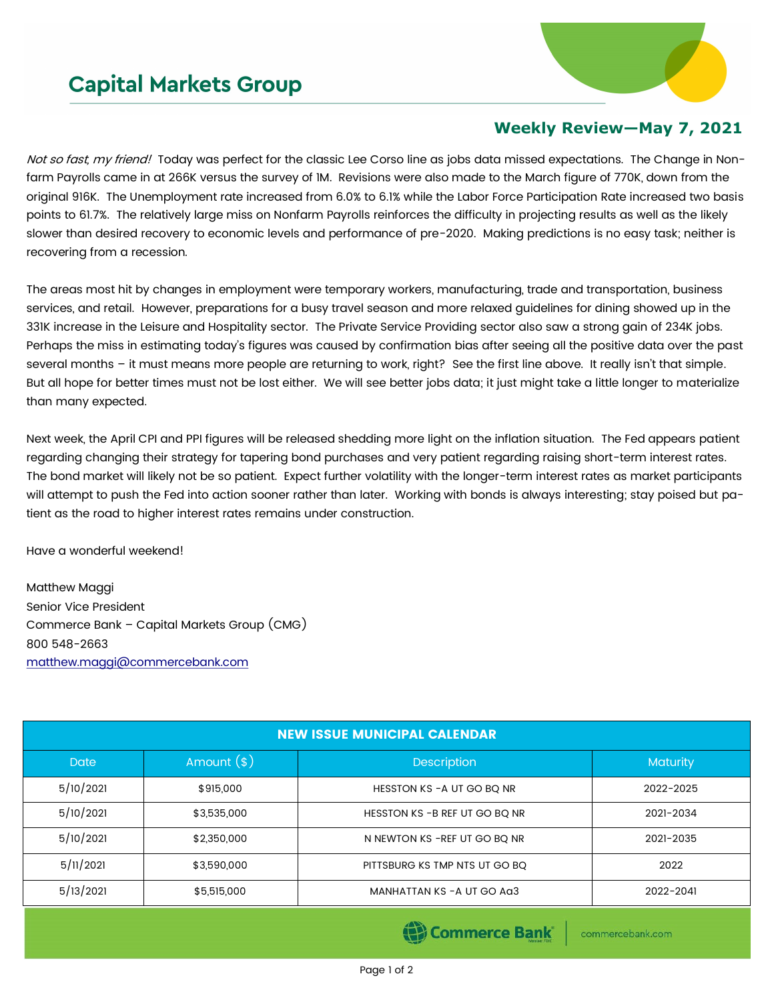## **Capital Markets Group**



## **Weekly Review—May 7, 2021**

Not so fast, my friend! Today was perfect for the classic Lee Corso line as jobs data missed expectations. The Change in Nonfarm Payrolls came in at 266K versus the survey of 1M. Revisions were also made to the March figure of 770K, down from the original 916K. The Unemployment rate increased from 6.0% to 6.1% while the Labor Force Participation Rate increased two basis points to 61.7%. The relatively large miss on Nonfarm Payrolls reinforces the difficulty in projecting results as well as the likely slower than desired recovery to economic levels and performance of pre-2020. Making predictions is no easy task; neither is recovering from a recession.

The areas most hit by changes in employment were temporary workers, manufacturing, trade and transportation, business services, and retail. However, preparations for a busy travel season and more relaxed guidelines for dining showed up in the 331K increase in the Leisure and Hospitality sector. The Private Service Providing sector also saw a strong gain of 234K jobs. Perhaps the miss in estimating today's figures was caused by confirmation bias after seeing all the positive data over the past several months – it must means more people are returning to work, right? See the first line above. It really isn't that simple. But all hope for better times must not be lost either. We will see better jobs data; it just might take a little longer to materialize than many expected.

Next week, the April CPI and PPI figures will be released shedding more light on the inflation situation. The Fed appears patient regarding changing their strategy for tapering bond purchases and very patient regarding raising short-term interest rates. The bond market will likely not be so patient. Expect further volatility with the longer-term interest rates as market participants will attempt to push the Fed into action sooner rather than later. Working with bonds is always interesting; stay poised but patient as the road to higher interest rates remains under construction.

Have a wonderful weekend!

Matthew Maggi Senior Vice President Commerce Bank – Capital Markets Group (CMG) 800 548-2663 [matthew.maggi@commercebank.com](mailto:matthew.maggi@commercebank.com)

| <b>NEW ISSUE MUNICIPAL CALENDAR</b> |              |                                |           |  |  |  |
|-------------------------------------|--------------|--------------------------------|-----------|--|--|--|
| <b>Date</b>                         | Amount $(*)$ | <b>Description</b>             | Maturity  |  |  |  |
| 5/10/2021                           | \$915,000    | HESSTON KS - A UT GO BO NR     | 2022-2025 |  |  |  |
| 5/10/2021                           | \$3,535,000  | HESSTON KS - B REF UT GO BQ NR | 2021-2034 |  |  |  |
| 5/10/2021                           | \$2,350,000  | N NEWTON KS - REF UT GO BO NR  | 2021-2035 |  |  |  |
| 5/11/2021                           | \$3,590,000  | PITTSBURG KS TMP NTS UT GO BQ  | 2022      |  |  |  |
| 5/13/2021                           | \$5,515,000  | MANHATTAN KS - A UT GO AG3     | 2022-2041 |  |  |  |

(B) Commerce Bank

commercebank.com